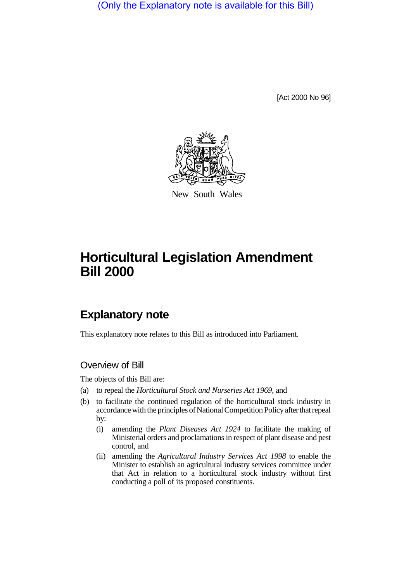(Only the Explanatory note is available for this Bill)

[Act 2000 No 96]



New South Wales

# **Horticultural Legislation Amendment Bill 2000**

## **Explanatory note**

This explanatory note relates to this Bill as introduced into Parliament.

## Overview of Bill

The objects of this Bill are:

- (a) to repeal the *Horticultural Stock and Nurseries Act 1969*, and
- (b) to facilitate the continued regulation of the horticultural stock industry in accordance with the principles of National Competition Policy after that repeal by:
	- (i) amending the *Plant Diseases Act 1924* to facilitate the making of Ministerial orders and proclamations in respect of plant disease and pest control, and
	- (ii) amending the *Agricultural Industry Services Act 1998* to enable the Minister to establish an agricultural industry services committee under that Act in relation to a horticultural stock industry without first conducting a poll of its proposed constituents.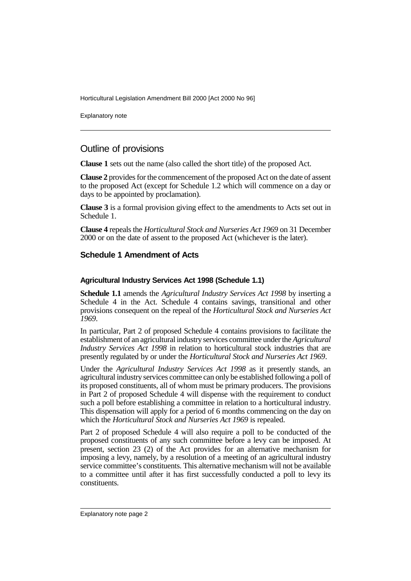Horticultural Legislation Amendment Bill 2000 [Act 2000 No 96]

Explanatory note

## Outline of provisions

**Clause 1** sets out the name (also called the short title) of the proposed Act.

**Clause 2** provides for the commencement of the proposed Act on the date of assent to the proposed Act (except for Schedule 1.2 which will commence on a day or days to be appointed by proclamation).

**Clause 3** is a formal provision giving effect to the amendments to Acts set out in Schedule 1.

**Clause 4** repeals the *Horticultural Stock and Nurseries Act 1969* on 31 December 2000 or on the date of assent to the proposed Act (whichever is the later).

### **Schedule 1 Amendment of Acts**

#### **Agricultural Industry Services Act 1998 (Schedule 1.1)**

**Schedule 1.1** amends the *Agricultural Industry Services Act 1998* by inserting a Schedule 4 in the Act. Schedule 4 contains savings, transitional and other provisions consequent on the repeal of the *Horticultural Stock and Nurseries Act 1969*.

In particular, Part 2 of proposed Schedule 4 contains provisions to facilitate the establishment of an agricultural industry services committee under the *Agricultural Industry Services Act 1998* in relation to horticultural stock industries that are presently regulated by or under the *Horticultural Stock and Nurseries Act 1969*.

Under the *Agricultural Industry Services Act 1998* as it presently stands, an agricultural industry services committee can only be established following a poll of its proposed constituents, all of whom must be primary producers. The provisions in Part 2 of proposed Schedule 4 will dispense with the requirement to conduct such a poll before establishing a committee in relation to a horticultural industry. This dispensation will apply for a period of 6 months commencing on the day on which the *Horticultural Stock and Nurseries Act 1969* is repealed.

Part 2 of proposed Schedule 4 will also require a poll to be conducted of the proposed constituents of any such committee before a levy can be imposed. At present, section 23 (2) of the Act provides for an alternative mechanism for imposing a levy, namely, by a resolution of a meeting of an agricultural industry service committee's constituents. This alternative mechanism will not be available to a committee until after it has first successfully conducted a poll to levy its constituents.